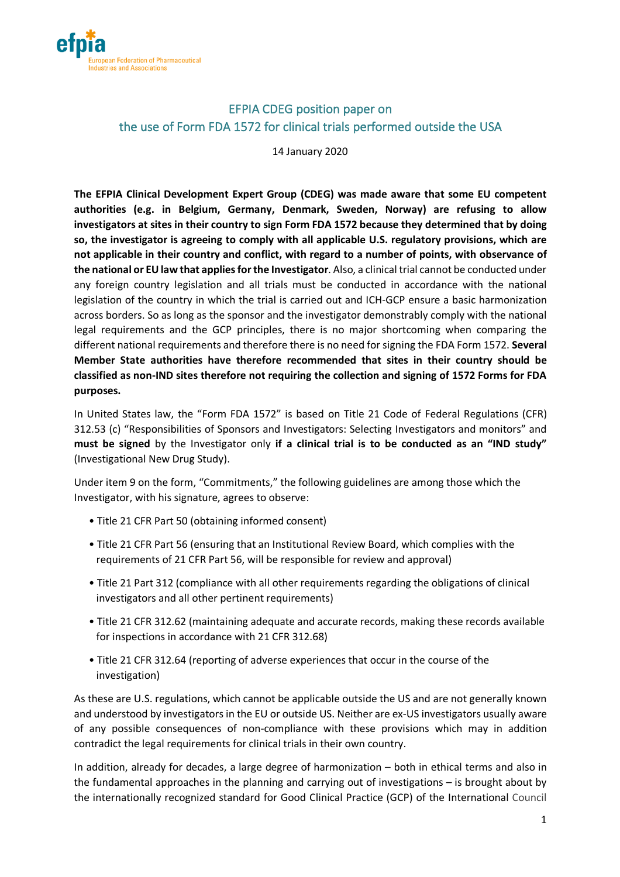

# EFPIA CDEG position paper on the use of Form FDA 1572 for clinical trials performed outside the USA

14 January 2020

**The EFPIA Clinical Development Expert Group (CDEG) was made aware that some EU competent authorities (e.g. in Belgium, Germany, Denmark, Sweden, Norway) are refusing to allow investigators at sites in their country to sign Form FDA 1572 because they determined that by doing so, the investigator is agreeing to comply with all applicable U.S. regulatory provisions, which are not applicable in their country and conflict, with regard to a number of points, with observance of the national or EU law that applies for the Investigator**. Also, a clinical trial cannot be conducted under any foreign country legislation and all trials must be conducted in accordance with the national legislation of the country in which the trial is carried out and ICH-GCP ensure a basic harmonization across borders. So as long as the sponsor and the investigator demonstrably comply with the national legal requirements and the GCP principles, there is no major shortcoming when comparing the different national requirements and therefore there is no need for signing the FDA Form 1572. **Several Member State authorities have therefore recommended that sites in their country should be classified as non-IND sites therefore not requiring the collection and signing of 1572 Forms for FDA purposes.**

In United States law, the "Form FDA 1572" is based on Title 21 Code of Federal Regulations (CFR) 312.53 (c) "Responsibilities of Sponsors and Investigators: Selecting Investigators and monitors" and **must be signed** by the Investigator only **if a clinical trial is to be conducted as an "IND study"** (Investigational New Drug Study).

Under item 9 on the form, "Commitments," the following guidelines are among those which the Investigator, with his signature, agrees to observe:

- Title 21 CFR Part 50 (obtaining informed consent)
- Title 21 CFR Part 56 (ensuring that an Institutional Review Board, which complies with the requirements of 21 CFR Part 56, will be responsible for review and approval)
- Title 21 Part 312 (compliance with all other requirements regarding the obligations of clinical investigators and all other pertinent requirements)
- Title 21 CFR 312.62 (maintaining adequate and accurate records, making these records available for inspections in accordance with 21 CFR 312.68)
- Title 21 CFR 312.64 (reporting of adverse experiences that occur in the course of the investigation)

As these are U.S. regulations, which cannot be applicable outside the US and are not generally known and understood by investigators in the EU or outside US. Neither are ex-US investigators usually aware of any possible consequences of non-compliance with these provisions which may in addition contradict the legal requirements for clinical trials in their own country.

In addition, already for decades, a large degree of harmonization – both in ethical terms and also in the fundamental approaches in the planning and carrying out of investigations – is brought about by the internationally recognized standard for Good Clinical Practice (GCP) of the International Council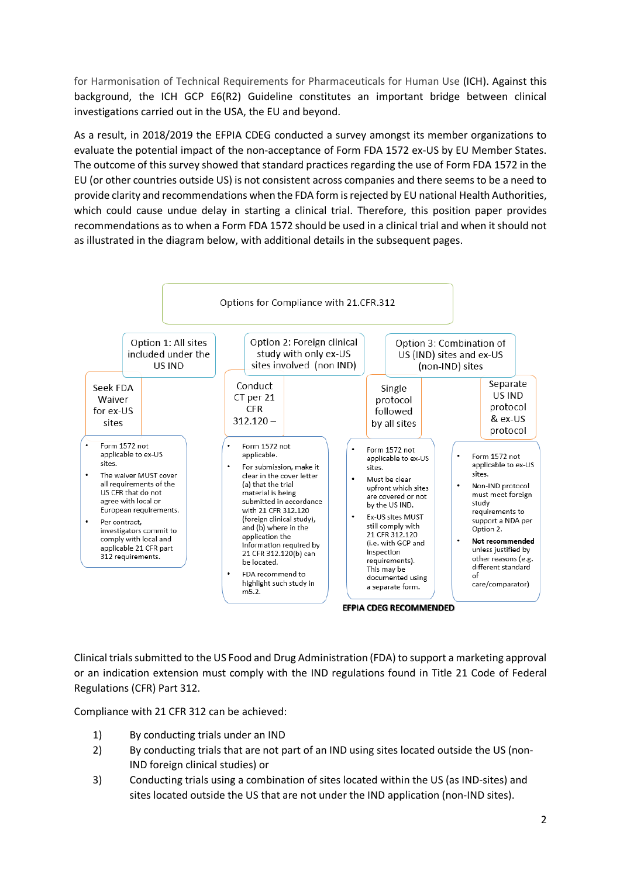for Harmonisation of Technical Requirements for Pharmaceuticals for Human Use (ICH). Against this background, the ICH GCP E6(R2) Guideline constitutes an important bridge between clinical investigations carried out in the USA, the EU and beyond.

As a result, in 2018/2019 the EFPIA CDEG conducted a survey amongst its member organizations to evaluate the potential impact of the non-acceptance of Form FDA 1572 ex-US by EU Member States. The outcome of this survey showed that standard practices regarding the use of Form FDA 1572 in the EU (or other countries outside US) is not consistent across companies and there seems to be a need to provide clarity and recommendations when the FDA form is rejected by EU national Health Authorities, which could cause undue delay in starting a clinical trial. Therefore, this position paper provides recommendations as to when a Form FDA 1572 should be used in a clinical trial and when it should not as illustrated in the diagram below, with additional details in the subsequent pages.



Clinical trials submitted to the US Food and Drug Administration (FDA) to support a marketing approval or an indication extension must comply with the IND regulations found in Title 21 Code of Federal Regulations (CFR) Part 312.

Compliance with 21 CFR 312 can be achieved:

- 1) By conducting trials under an IND
- 2) By conducting trials that are not part of an IND using sites located outside the US (non-IND foreign clinical studies) or
- 3) Conducting trials using a combination of sites located within the US (as IND-sites) and sites located outside the US that are not under the IND application (non-IND sites).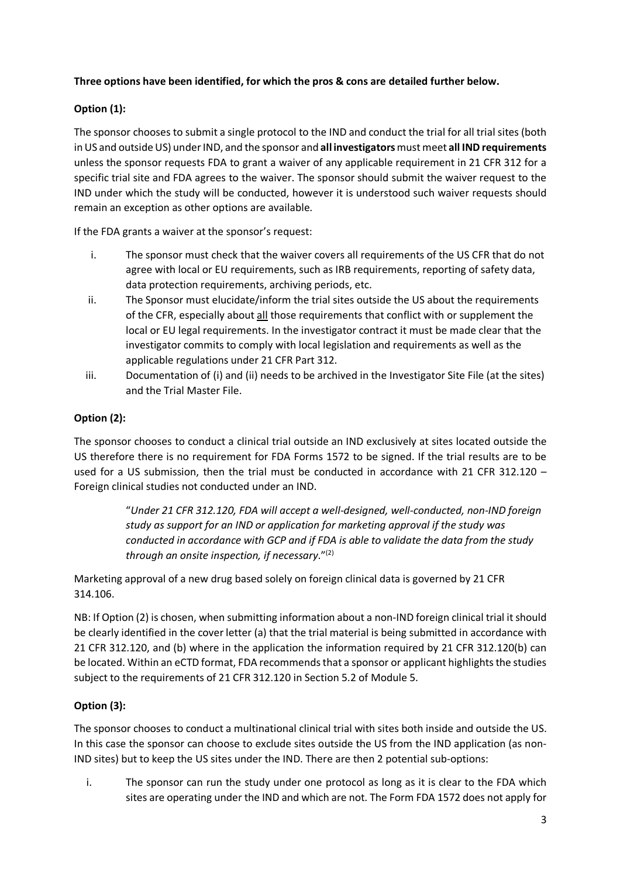### **Three options have been identified, for which the pros & cons are detailed further below.**

### **Option (1):**

The sponsor chooses to submit a single protocol to the IND and conduct the trial for all trial sites (both in US and outside US) under IND, and the sponsor and **all investigators**must meet **all IND requirements** unless the sponsor requests FDA to grant a waiver of any applicable requirement in 21 CFR 312 for a specific trial site and FDA agrees to the waiver. The sponsor should submit the waiver request to the IND under which the study will be conducted, however it is understood such waiver requests should remain an exception as other options are available.

If the FDA grants a waiver at the sponsor's request:

- i. The sponsor must check that the waiver covers all requirements of the US CFR that do not agree with local or EU requirements, such as IRB requirements, reporting of safety data, data protection requirements, archiving periods, etc.
- ii. The Sponsor must elucidate/inform the trial sites outside the US about the requirements of the CFR, especially about all those requirements that conflict with or supplement the local or EU legal requirements. In the investigator contract it must be made clear that the investigator commits to comply with local legislation and requirements as well as the applicable regulations under 21 CFR Part 312.
- iii. Documentation of (i) and (ii) needs to be archived in the Investigator Site File (at the sites) and the Trial Master File.

#### **Option (2):**

The sponsor chooses to conduct a clinical trial outside an IND exclusively at sites located outside the US therefore there is no requirement for FDA Forms 1572 to be signed. If the trial results are to be used for a US submission, then the trial must be conducted in accordance with 21 CFR 312.120 -Foreign clinical studies not conducted under an IND.

> "*Under 21 CFR 312.120, FDA will accept a well-designed, well-conducted, non-IND foreign study as support for an IND or application for marketing approval if the study was conducted in accordance with GCP and if FDA is able to validate the data from the study through an onsite inspection, if necessary*."(2)

Marketing approval of a new drug based solely on foreign clinical data is governed by 21 CFR 314.106.

NB: If Option (2) is chosen, when submitting information about a non-IND foreign clinical trial it should be clearly identified in the cover letter (a) that the trial material is being submitted in accordance with 21 CFR 312.120, and (b) where in the application the information required by 21 CFR 312.120(b) can be located. Within an eCTD format, FDA recommends that a sponsor or applicant highlights the studies subject to the requirements of 21 CFR 312.120 in Section 5.2 of Module 5.

## **Option (3):**

The sponsor chooses to conduct a multinational clinical trial with sites both inside and outside the US. In this case the sponsor can choose to exclude sites outside the US from the IND application (as non-IND sites) but to keep the US sites under the IND. There are then 2 potential sub-options:

i. The sponsor can run the study under one protocol as long as it is clear to the FDA which sites are operating under the IND and which are not. The Form FDA 1572 does not apply for